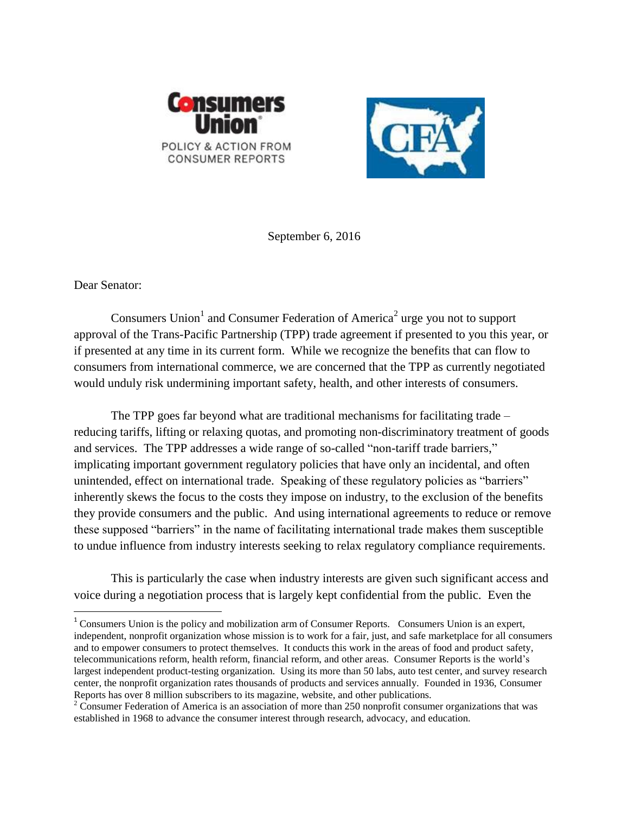



September 6, 2016

Dear Senator:

 $\overline{a}$ 

Consumers Union<sup>1</sup> and Consumer Federation of America<sup>2</sup> urge you not to support approval of the Trans-Pacific Partnership (TPP) trade agreement if presented to you this year, or if presented at any time in its current form. While we recognize the benefits that can flow to consumers from international commerce, we are concerned that the TPP as currently negotiated would unduly risk undermining important safety, health, and other interests of consumers.

The TPP goes far beyond what are traditional mechanisms for facilitating trade – reducing tariffs, lifting or relaxing quotas, and promoting non-discriminatory treatment of goods and services. The TPP addresses a wide range of so-called "non-tariff trade barriers," implicating important government regulatory policies that have only an incidental, and often unintended, effect on international trade. Speaking of these regulatory policies as "barriers" inherently skews the focus to the costs they impose on industry, to the exclusion of the benefits they provide consumers and the public. And using international agreements to reduce or remove these supposed "barriers" in the name of facilitating international trade makes them susceptible to undue influence from industry interests seeking to relax regulatory compliance requirements.

This is particularly the case when industry interests are given such significant access and voice during a negotiation process that is largely kept confidential from the public. Even the

<sup>&</sup>lt;sup>1</sup> Consumers Union is the policy and mobilization arm of Consumer Reports. Consumers Union is an expert, independent, nonprofit organization whose mission is to work for a fair, just, and safe marketplace for all consumers and to empower consumers to protect themselves. It conducts this work in the areas of food and product safety, telecommunications reform, health reform, financial reform, and other areas. Consumer Reports is the world's largest independent product-testing organization. Using its more than 50 labs, auto test center, and survey research center, the nonprofit organization rates thousands of products and services annually. Founded in 1936, Consumer Reports has over 8 million subscribers to its magazine, website, and other publications.

 $2^2$  Consumer Federation of America is an association of more than 250 nonprofit consumer organizations that was established in 1968 to advance the consumer interest through research, advocacy, and education.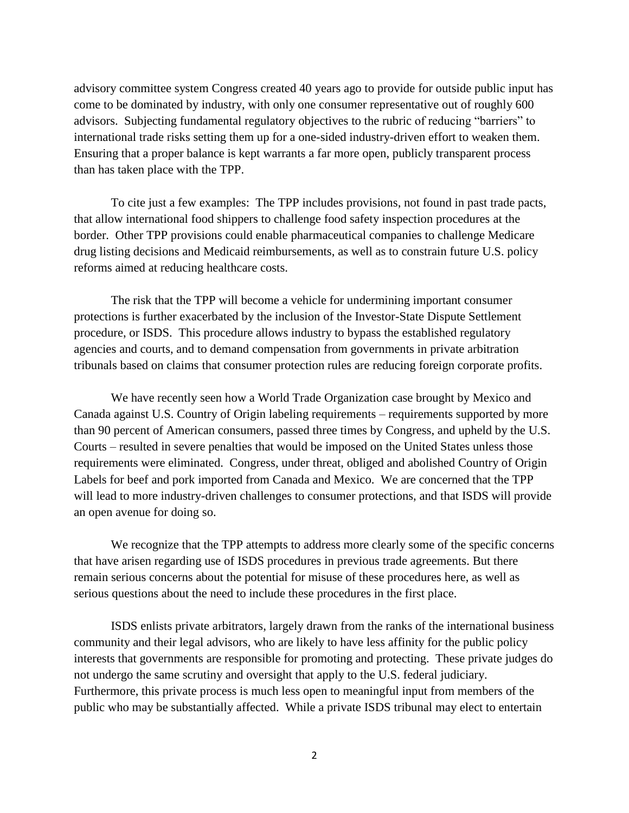advisory committee system Congress created 40 years ago to provide for outside public input has come to be dominated by industry, with only one consumer representative out of roughly 600 advisors. Subjecting fundamental regulatory objectives to the rubric of reducing "barriers" to international trade risks setting them up for a one-sided industry-driven effort to weaken them. Ensuring that a proper balance is kept warrants a far more open, publicly transparent process than has taken place with the TPP.

To cite just a few examples: The TPP includes provisions, not found in past trade pacts, that allow international food shippers to challenge food safety inspection procedures at the border. Other TPP provisions could enable pharmaceutical companies to challenge Medicare drug listing decisions and Medicaid reimbursements, as well as to constrain future U.S. policy reforms aimed at reducing healthcare costs.

The risk that the TPP will become a vehicle for undermining important consumer protections is further exacerbated by the inclusion of the Investor-State Dispute Settlement procedure, or ISDS. This procedure allows industry to bypass the established regulatory agencies and courts, and to demand compensation from governments in private arbitration tribunals based on claims that consumer protection rules are reducing foreign corporate profits.

We have recently seen how a World Trade Organization case brought by Mexico and Canada against U.S. Country of Origin labeling requirements – requirements supported by more than 90 percent of American consumers, passed three times by Congress, and upheld by the U.S. Courts – resulted in severe penalties that would be imposed on the United States unless those requirements were eliminated. Congress, under threat, obliged and abolished Country of Origin Labels for beef and pork imported from Canada and Mexico. We are concerned that the TPP will lead to more industry-driven challenges to consumer protections, and that ISDS will provide an open avenue for doing so.

We recognize that the TPP attempts to address more clearly some of the specific concerns that have arisen regarding use of ISDS procedures in previous trade agreements. But there remain serious concerns about the potential for misuse of these procedures here, as well as serious questions about the need to include these procedures in the first place.

ISDS enlists private arbitrators, largely drawn from the ranks of the international business community and their legal advisors, who are likely to have less affinity for the public policy interests that governments are responsible for promoting and protecting. These private judges do not undergo the same scrutiny and oversight that apply to the U.S. federal judiciary. Furthermore, this private process is much less open to meaningful input from members of the public who may be substantially affected. While a private ISDS tribunal may elect to entertain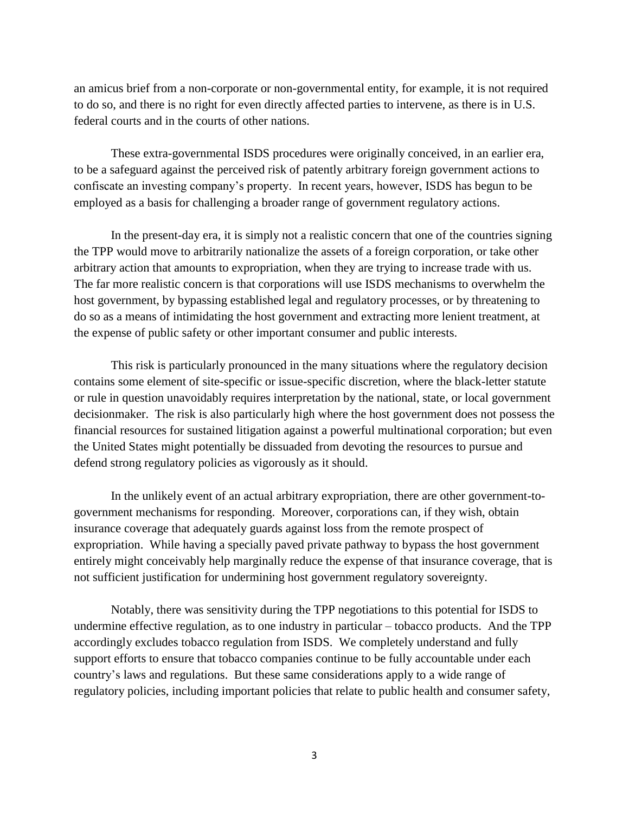an amicus brief from a non-corporate or non-governmental entity, for example, it is not required to do so, and there is no right for even directly affected parties to intervene, as there is in U.S. federal courts and in the courts of other nations.

These extra-governmental ISDS procedures were originally conceived, in an earlier era, to be a safeguard against the perceived risk of patently arbitrary foreign government actions to confiscate an investing company's property. In recent years, however, ISDS has begun to be employed as a basis for challenging a broader range of government regulatory actions.

In the present-day era, it is simply not a realistic concern that one of the countries signing the TPP would move to arbitrarily nationalize the assets of a foreign corporation, or take other arbitrary action that amounts to expropriation, when they are trying to increase trade with us. The far more realistic concern is that corporations will use ISDS mechanisms to overwhelm the host government, by bypassing established legal and regulatory processes, or by threatening to do so as a means of intimidating the host government and extracting more lenient treatment, at the expense of public safety or other important consumer and public interests.

This risk is particularly pronounced in the many situations where the regulatory decision contains some element of site-specific or issue-specific discretion, where the black-letter statute or rule in question unavoidably requires interpretation by the national, state, or local government decisionmaker. The risk is also particularly high where the host government does not possess the financial resources for sustained litigation against a powerful multinational corporation; but even the United States might potentially be dissuaded from devoting the resources to pursue and defend strong regulatory policies as vigorously as it should.

In the unlikely event of an actual arbitrary expropriation, there are other government-togovernment mechanisms for responding. Moreover, corporations can, if they wish, obtain insurance coverage that adequately guards against loss from the remote prospect of expropriation. While having a specially paved private pathway to bypass the host government entirely might conceivably help marginally reduce the expense of that insurance coverage, that is not sufficient justification for undermining host government regulatory sovereignty.

Notably, there was sensitivity during the TPP negotiations to this potential for ISDS to undermine effective regulation, as to one industry in particular – tobacco products. And the TPP accordingly excludes tobacco regulation from ISDS. We completely understand and fully support efforts to ensure that tobacco companies continue to be fully accountable under each country's laws and regulations. But these same considerations apply to a wide range of regulatory policies, including important policies that relate to public health and consumer safety,